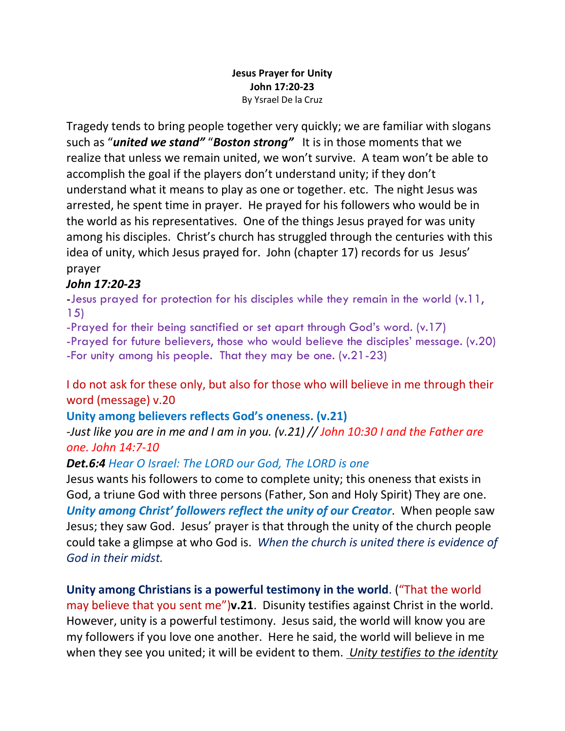#### **Jesus Prayer for Unity John 17:20-23** By Ysrael De la Cruz

Tragedy tends to bring people together very quickly; we are familiar with slogans such as "*united we stand"* "*Boston strong"* It is in those moments that we realize that unless we remain united, we won't survive. A team won't be able to accomplish the goal if the players don't understand unity; if they don't understand what it means to play as one or together. etc. The night Jesus was arrested, he spent time in prayer. He prayed for his followers who would be in the world as his representatives. One of the things Jesus prayed for was unity among his disciples. Christ's church has struggled through the centuries with this idea of unity, which Jesus prayed for. John (chapter 17) records for us Jesus' prayer

# *John 17:20-23*

-Jesus prayed for protection for his disciples while they remain in the world (v.11, 15)

-Prayed for their being sanctified or set apart through God's word. (v.17) -Prayed for future believers, those who would believe the disciples' message. (v.20) -For unity among his people. That they may be one. (v.21-23)

I do not ask for these only, but also for those who will believe in me through their word (message) v.20

## **Unity among believers reflects God's oneness. (v.21)**

*-Just like you are in me and I am in you. (v.21) // John 10:30 I and the Father are one. John 14:7-10*

## *Det.6:4 Hear O Israel: The LORD our God, The LORD is one*

Jesus wants his followers to come to complete unity; this oneness that exists in God, a triune God with three persons (Father, Son and Holy Spirit) They are one. *Unity among Christ' followers reflect the unity of our Creator*. When people saw Jesus; they saw God. Jesus' prayer is that through the unity of the church people could take a glimpse at who God is. *When the church is united there is evidence of God in their midst.*

**Unity among Christians is a powerful testimony in the world**. ("That the world may believe that you sent me")**v.21**. Disunity testifies against Christ in the world. However, unity is a powerful testimony. Jesus said, the world will know you are my followers if you love one another. Here he said, the world will believe in me when they see you united; it will be evident to them. *Unity testifies to the identity*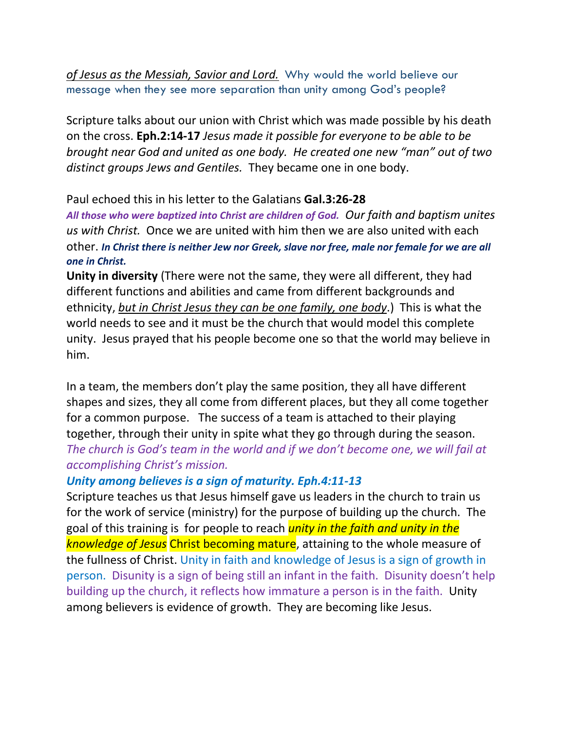*of Jesus as the Messiah, Savior and Lord.* Why would the world believe our message when they see more separation than unity among God's people?

Scripture talks about our union with Christ which was made possible by his death on the cross. **Eph.2:14-17** *Jesus made it possible for everyone to be able to be brought near God and united as one body. He created one new "man" out of two distinct groups Jews and Gentiles.* They became one in one body.

#### Paul echoed this in his letter to the Galatians **Gal.3:26-28**

*All those who were baptized into Christ are children of God. Our faith and baptism unites us with Christ.* Once we are united with him then we are also united with each other. *In Christ there is neither Jew nor Greek, slave nor free, male nor female for we are all one in Christ.*

**Unity in diversity** (There were not the same, they were all different, they had different functions and abilities and came from different backgrounds and ethnicity, *but in Christ Jesus they can be one family, one body*.) This is what the world needs to see and it must be the church that would model this complete unity. Jesus prayed that his people become one so that the world may believe in him.

In a team, the members don't play the same position, they all have different shapes and sizes, they all come from different places, but they all come together for a common purpose. The success of a team is attached to their playing together, through their unity in spite what they go through during the season. *The church is God's team in the world and if we don't become one, we will fail at accomplishing Christ's mission.*

#### *Unity among believes is a sign of maturity. Eph.4:11-13*

Scripture teaches us that Jesus himself gave us leaders in the church to train us for the work of service (ministry) for the purpose of building up the church. The goal of this training is for people to reach *unity in the faith and unity in the knowledge of Jesus* Christ becoming mature, attaining to the whole measure of the fullness of Christ. Unity in faith and knowledge of Jesus is a sign of growth in person. Disunity is a sign of being still an infant in the faith. Disunity doesn't help building up the church, it reflects how immature a person is in the faith. Unity among believers is evidence of growth. They are becoming like Jesus.